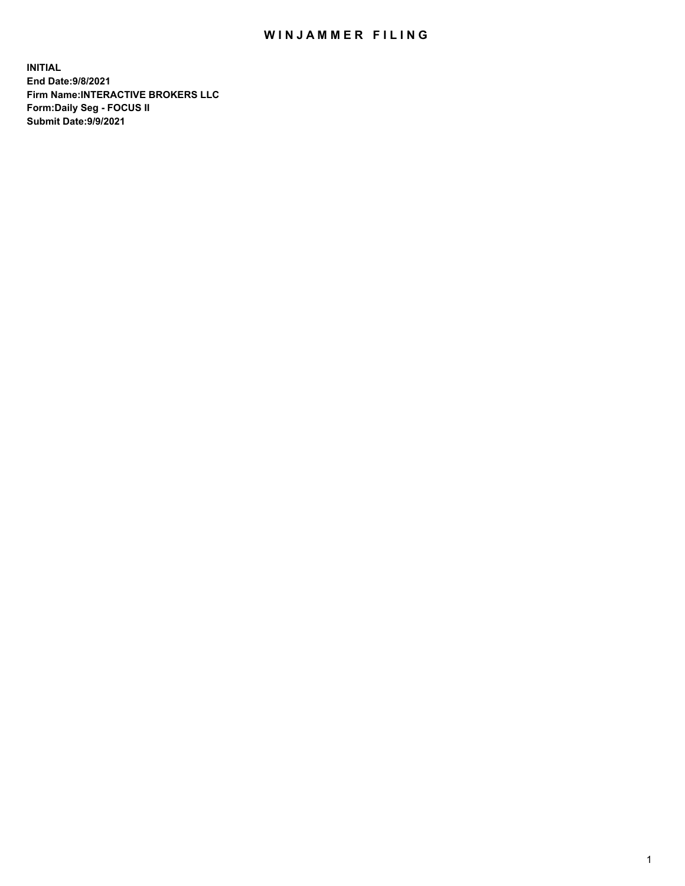## WIN JAMMER FILING

**INITIAL End Date:9/8/2021 Firm Name:INTERACTIVE BROKERS LLC Form:Daily Seg - FOCUS II Submit Date:9/9/2021**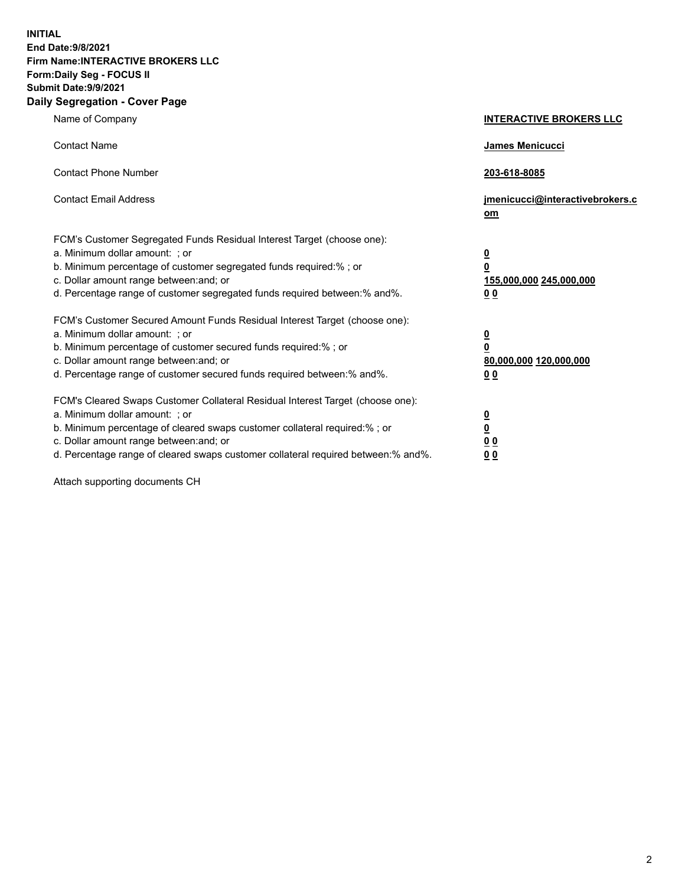**INITIAL End Date:9/8/2021 Firm Name:INTERACTIVE BROKERS LLC Form:Daily Seg - FOCUS II Submit Date:9/9/2021 Daily Segregation - Cover Page**

| Name of Company                                                                                                                                                                                                                                                                                                                | <b>INTERACTIVE BROKERS LLC</b>                                                   |
|--------------------------------------------------------------------------------------------------------------------------------------------------------------------------------------------------------------------------------------------------------------------------------------------------------------------------------|----------------------------------------------------------------------------------|
| <b>Contact Name</b>                                                                                                                                                                                                                                                                                                            | James Menicucci                                                                  |
| <b>Contact Phone Number</b>                                                                                                                                                                                                                                                                                                    | 203-618-8085                                                                     |
| <b>Contact Email Address</b>                                                                                                                                                                                                                                                                                                   | jmenicucci@interactivebrokers.c<br>om                                            |
| FCM's Customer Segregated Funds Residual Interest Target (choose one):<br>a. Minimum dollar amount: ; or<br>b. Minimum percentage of customer segregated funds required:% ; or<br>c. Dollar amount range between: and; or<br>d. Percentage range of customer segregated funds required between:% and%.                         | <u>0</u><br>$\overline{\mathbf{0}}$<br>155,000,000 245,000,000<br>0 <sub>0</sub> |
| FCM's Customer Secured Amount Funds Residual Interest Target (choose one):<br>a. Minimum dollar amount: ; or<br>b. Minimum percentage of customer secured funds required:%; or<br>c. Dollar amount range between: and; or<br>d. Percentage range of customer secured funds required between:% and%.                            | $\frac{0}{0}$<br>80,000,000 120,000,000<br>0 <sub>0</sub>                        |
| FCM's Cleared Swaps Customer Collateral Residual Interest Target (choose one):<br>a. Minimum dollar amount: ; or<br>b. Minimum percentage of cleared swaps customer collateral required:% ; or<br>c. Dollar amount range between: and; or<br>d. Percentage range of cleared swaps customer collateral required between:% and%. | $\frac{0}{0}$<br>$\underline{0}$ $\underline{0}$<br>0 <sub>0</sub>               |

Attach supporting documents CH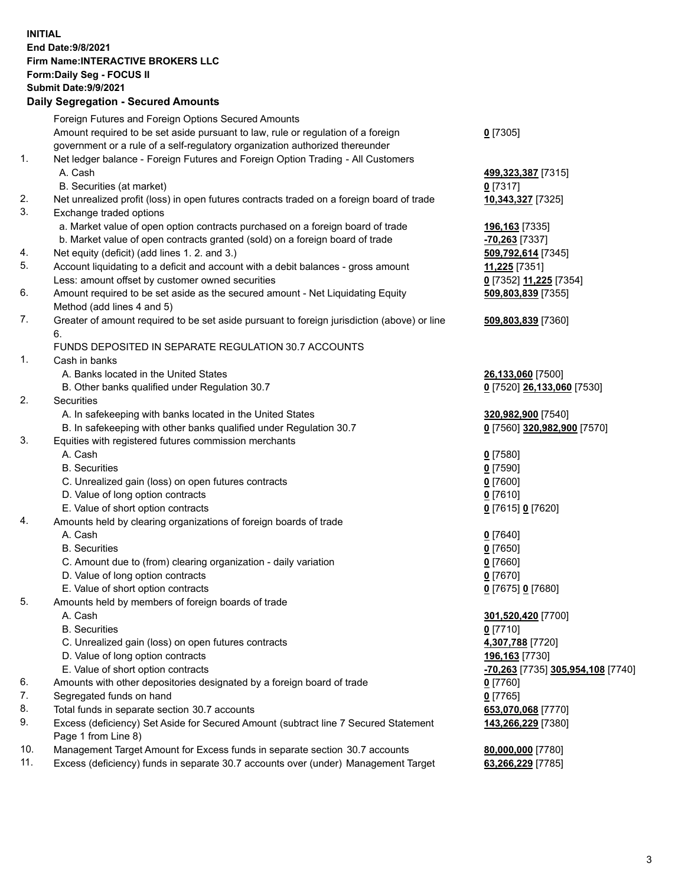## **INITIAL End Date:9/8/2021 Firm Name:INTERACTIVE BROKERS LLC Form:Daily Seg - FOCUS II Submit Date:9/9/2021 Daily Segregation - Secured Amounts**

|     | Dany Ocgregation - Occarea Anioants                                                                        |                                   |
|-----|------------------------------------------------------------------------------------------------------------|-----------------------------------|
|     | Foreign Futures and Foreign Options Secured Amounts                                                        |                                   |
|     | Amount required to be set aside pursuant to law, rule or regulation of a foreign                           | $0$ [7305]                        |
|     | government or a rule of a self-regulatory organization authorized thereunder                               |                                   |
| 1.  | Net ledger balance - Foreign Futures and Foreign Option Trading - All Customers                            |                                   |
|     | A. Cash                                                                                                    | 499,323,387 [7315]                |
|     | B. Securities (at market)                                                                                  | $0$ [7317]                        |
| 2.  | Net unrealized profit (loss) in open futures contracts traded on a foreign board of trade                  | 10,343,327 [7325]                 |
| 3.  | Exchange traded options                                                                                    |                                   |
|     | a. Market value of open option contracts purchased on a foreign board of trade                             | 196,163 [7335]                    |
|     | b. Market value of open contracts granted (sold) on a foreign board of trade                               | -70,263 [7337]                    |
| 4.  | Net equity (deficit) (add lines 1. 2. and 3.)                                                              | 509,792,614 [7345]                |
| 5.  | Account liquidating to a deficit and account with a debit balances - gross amount                          | 11,225 [7351]                     |
|     | Less: amount offset by customer owned securities                                                           | 0 [7352] 11,225 [7354]            |
| 6.  | Amount required to be set aside as the secured amount - Net Liquidating Equity                             | 509,803,839 [7355]                |
|     | Method (add lines 4 and 5)                                                                                 |                                   |
| 7.  | Greater of amount required to be set aside pursuant to foreign jurisdiction (above) or line                | 509,803,839 [7360]                |
|     | 6.                                                                                                         |                                   |
|     | FUNDS DEPOSITED IN SEPARATE REGULATION 30.7 ACCOUNTS                                                       |                                   |
| 1.  | Cash in banks                                                                                              |                                   |
|     | A. Banks located in the United States                                                                      | 26,133,060 [7500]                 |
|     | B. Other banks qualified under Regulation 30.7                                                             | 0 [7520] 26,133,060 [7530]        |
| 2.  | Securities                                                                                                 |                                   |
|     | A. In safekeeping with banks located in the United States                                                  | 320,982,900 [7540]                |
|     | B. In safekeeping with other banks qualified under Regulation 30.7                                         | 0 [7560] 320,982,900 [7570]       |
| 3.  | Equities with registered futures commission merchants                                                      |                                   |
|     | A. Cash                                                                                                    | $0$ [7580]                        |
|     | <b>B.</b> Securities                                                                                       | $0$ [7590]                        |
|     | C. Unrealized gain (loss) on open futures contracts                                                        | $0$ [7600]                        |
|     | D. Value of long option contracts                                                                          | $0$ [7610]                        |
|     | E. Value of short option contracts                                                                         | 0 [7615] 0 [7620]                 |
| 4.  | Amounts held by clearing organizations of foreign boards of trade                                          |                                   |
|     | A. Cash                                                                                                    | $0$ [7640]                        |
|     | <b>B.</b> Securities                                                                                       | $0$ [7650]                        |
|     | C. Amount due to (from) clearing organization - daily variation                                            | $0$ [7660]                        |
|     | D. Value of long option contracts                                                                          | $0$ [7670]                        |
|     | E. Value of short option contracts                                                                         | 0 [7675] 0 [7680]                 |
| 5.  | Amounts held by members of foreign boards of trade                                                         |                                   |
|     | A. Cash                                                                                                    | 301,520,420 [7700]                |
|     | <b>B.</b> Securities                                                                                       | $0$ [7710]                        |
|     | C. Unrealized gain (loss) on open futures contracts                                                        | 4,307,788 [7720]                  |
|     | D. Value of long option contracts                                                                          | 196,163 [7730]                    |
|     | E. Value of short option contracts                                                                         | -70,263 [7735] 305,954,108 [7740] |
| 6.  | Amounts with other depositories designated by a foreign board of trade                                     | 0 [7760]                          |
| 7.  | Segregated funds on hand                                                                                   | $0$ [7765]                        |
| 8.  | Total funds in separate section 30.7 accounts                                                              | 653,070,068 [7770]                |
| 9.  | Excess (deficiency) Set Aside for Secured Amount (subtract line 7 Secured Statement<br>Page 1 from Line 8) | 143,266,229 [7380]                |
| 10. | Management Target Amount for Excess funds in separate section 30.7 accounts                                | 80,000,000 [7780]                 |
| 11. | Excess (deficiency) funds in separate 30.7 accounts over (under) Management Target                         | 63,266,229 [7785]                 |
|     |                                                                                                            |                                   |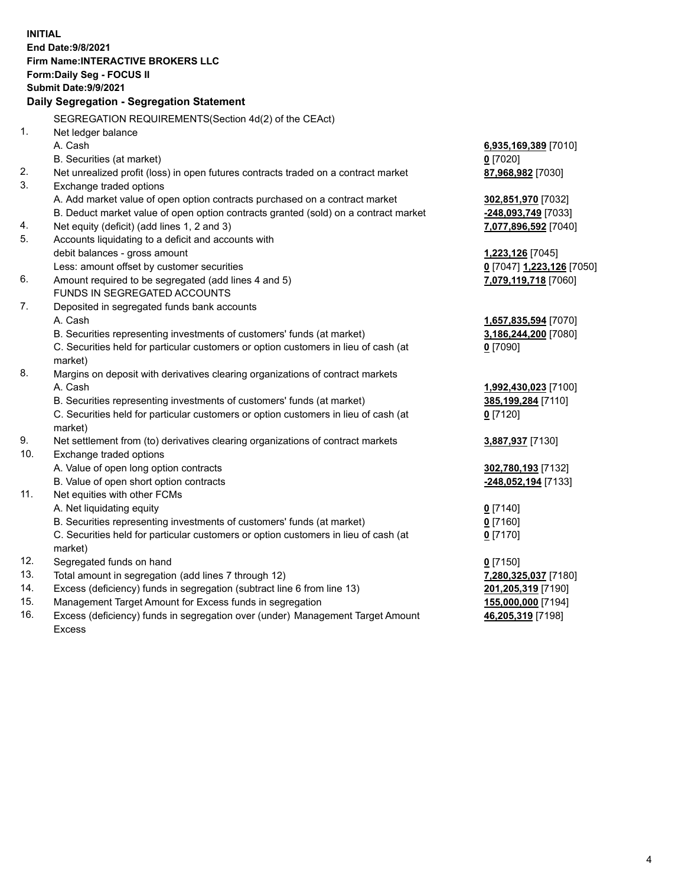**INITIAL End Date:9/8/2021 Firm Name:INTERACTIVE BROKERS LLC Form:Daily Seg - FOCUS II Submit Date:9/9/2021 Daily Segregation - Segregation Statement** SEGREGATION REQUIREMENTS(Section 4d(2) of the CEAct) 1. Net ledger balance A. Cash **6,935,169,389** [7010] B. Securities (at market) **0** [7020] 2. Net unrealized profit (loss) in open futures contracts traded on a contract market **87,968,982** [7030] 3. Exchange traded options A. Add market value of open option contracts purchased on a contract market **302,851,970** [7032] B. Deduct market value of open option contracts granted (sold) on a contract market **-248,093,749** [7033] 4. Net equity (deficit) (add lines 1, 2 and 3) **7,077,896,592** [7040] 5. Accounts liquidating to a deficit and accounts with debit balances - gross amount **1,223,126** [7045] Less: amount offset by customer securities **0** [7047] **1,223,126** [7050] 6. Amount required to be segregated (add lines 4 and 5) **7,079,119,718** [7060] FUNDS IN SEGREGATED ACCOUNTS 7. Deposited in segregated funds bank accounts A. Cash **1,657,835,594** [7070] B. Securities representing investments of customers' funds (at market) **3,186,244,200** [7080] C. Securities held for particular customers or option customers in lieu of cash (at market) **0** [7090] 8. Margins on deposit with derivatives clearing organizations of contract markets A. Cash **1,992,430,023** [7100] B. Securities representing investments of customers' funds (at market) **385,199,284** [7110] C. Securities held for particular customers or option customers in lieu of cash (at market) **0** [7120] 9. Net settlement from (to) derivatives clearing organizations of contract markets **3,887,937** [7130] 10. Exchange traded options A. Value of open long option contracts **302,780,193** [7132] B. Value of open short option contracts **-248,052,194** [7133] 11. Net equities with other FCMs A. Net liquidating equity **0** [7140] B. Securities representing investments of customers' funds (at market) **0** [7160] C. Securities held for particular customers or option customers in lieu of cash (at market) **0** [7170] 12. Segregated funds on hand **0** [7150] 13. Total amount in segregation (add lines 7 through 12) **7,280,325,037** [7180] 14. Excess (deficiency) funds in segregation (subtract line 6 from line 13) **201,205,319** [7190] 15. Management Target Amount for Excess funds in segregation **155,000,000** [7194] 16. Excess (deficiency) funds in segregation over (under) Management Target Amount **46,205,319** [7198]

Excess